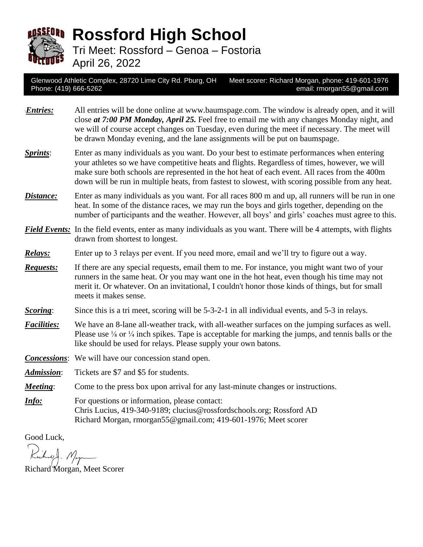

**Rossford High School**

Tri Meet: Rossford – Genoa – Fostoria

April 26, 2022

Glenwood Athletic Complex, 28720 Lime City Rd. Pburg, OH Meet scorer: Richard Morgan, phone: 419-601-1976 Phone: (419) 666-5262 email: rmorgan55@gmail.com

- **Entries:** All entries will be done online at www.baumspage.com. The window is already open, and it will close *at 7:00 PM Monday, April 25.* Feel free to email me with any changes Monday night, and we will of course accept changes on Tuesday, even during the meet if necessary. The meet will be drawn Monday evening, and the lane assignments will be put on baumspage.
- *Sprints*: Enter as many individuals as you want. Do your best to estimate performances when entering your athletes so we have competitive heats and flights. Regardless of times, however, we will make sure both schools are represented in the hot heat of each event. All races from the 400m down will be run in multiple heats, from fastest to slowest, with scoring possible from any heat.
- *Distance*: Enter as many individuals as you want. For all races 800 m and up, all runners will be run in one heat. In some of the distance races, we may run the boys and girls together, depending on the number of participants and the weather. However, all boys' and girls' coaches must agree to this.
- *Field Events:* In the field events, enter as many individuals as you want. There will be 4 attempts, with flights drawn from shortest to longest.
- *Relays:* Enter up to 3 relays per event. If you need more, email and we'll try to figure out a way.
- *Requests:* If there are any special requests, email them to me. For instance, you might want two of your runners in the same heat. Or you may want one in the hot heat, even though his time may not merit it. Or whatever. On an invitational, I couldn't honor those kinds of things, but for small meets it makes sense.
- *Scoring*: Since this is a tri meet, scoring will be 5-3-2-1 in all individual events, and 5-3 in relays.
- *Facilities:* We have an 8-lane all-weather track, with all-weather surfaces on the jumping surfaces as well. Please use <sup>1</sup>/<sub>8</sub> or <sup>1</sup>/<sub>4</sub> inch spikes. Tape is acceptable for marking the jumps, and tennis balls or the like should be used for relays. Please supply your own batons.
- *Concessions*: We will have our concession stand open.
- *Admission*: Tickets are \$7 and \$5 for students.
- *Meeting*: Come to the press box upon arrival for any last-minute changes or instructions.
- *Info:* For questions or information, please contact: Chris Lucius, 419-340-9189; clucius@rossfordschools.org; Rossford AD Richard Morgan, rmorgan55@gmail.com; 419-601-1976; Meet scorer

Good Luck,

Richard - Magn

Richard Morgan, Meet Scorer